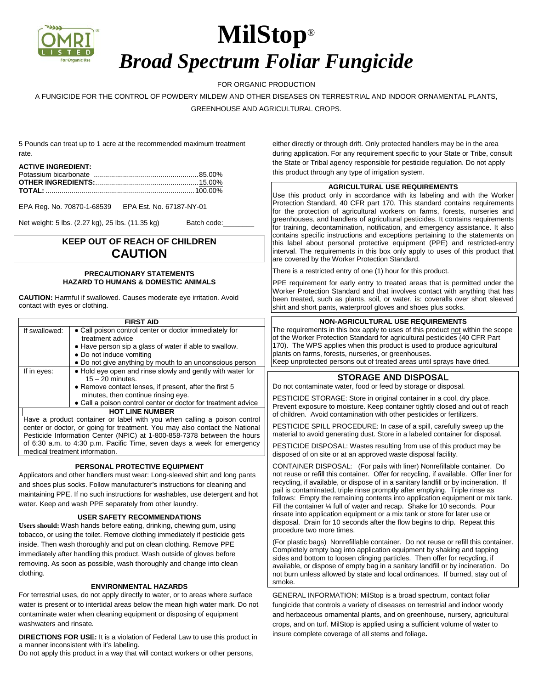

# **MilStop**® *Broad Spectrum Foliar Fungicide*

## FOR ORGANIC PRODUCTION

A FUNGICIDE FOR THE CONTROL OF POWDERY MILDEW AND OTHER DISEASES ON TERRESTRIAL AND INDOOR ORNAMENTAL PLANTS, GREENHOUSE AND AGRICULTURAL CROPS*.*

5 Pounds can treat up to 1 acre at the recommended maximum treatment rate.

### **ACTIVE INGREDIENT:**

EPA Reg. No. 70870-1-68539 EPA Est. No. 67187-NY-01

Net weight: 5 lbs. (2.27 kg), 25 lbs. (11.35 kg) Batch code:

## **KEEP OUT OF REACH OF CHILDREN CAUTION**

## **PRECAUTIONARY STATEMENTS HAZARD TO HUMANS & DOMESTIC ANIMALS**

**CAUTION:** Harmful if swallowed. Causes moderate eye irritation. Avoid contact with eyes or clothing.

|                                                                                                                                                                                                                                                                                                                                                 | <b>FIRST AID</b>                                                                                                                                                                                                             | <b>NON-AGRICULTURAL USE REQUIREMENTS</b>                                                                                                                                                                                                                                                                                                                                   |
|-------------------------------------------------------------------------------------------------------------------------------------------------------------------------------------------------------------------------------------------------------------------------------------------------------------------------------------------------|------------------------------------------------------------------------------------------------------------------------------------------------------------------------------------------------------------------------------|----------------------------------------------------------------------------------------------------------------------------------------------------------------------------------------------------------------------------------------------------------------------------------------------------------------------------------------------------------------------------|
| If swallowed:                                                                                                                                                                                                                                                                                                                                   | • Call poison control center or doctor immediately for<br>treatment advice<br>• Have person sip a glass of water if able to swallow.<br>• Do not induce vomiting<br>• Do not give anything by mouth to an unconscious person | The requirements in this box apply to uses of this product not within the scope<br>of the Worker Protection Standard for agricultural pesticides (40 CFR Part<br>170). The WPS applies when this product is used to produce agricultural<br>plants on farms, forests, nurseries, or greenhouses.<br>Keep unprotected persons out of treated areas until sprays have dried. |
| If in eyes:                                                                                                                                                                                                                                                                                                                                     | • Hold eye open and rinse slowly and gently with water for<br>$15 - 20$ minutes.<br>• Remove contact lenses, if present, after the first 5                                                                                   | <b>STORAGE AND DISPOSAL</b><br>Do not contaminate water, food or feed by storage or disposal.                                                                                                                                                                                                                                                                              |
|                                                                                                                                                                                                                                                                                                                                                 | minutes, then continue rinsing eye.<br>• Call a poison control center or doctor for treatment advice<br><b>HOT LINE NUMBER</b>                                                                                               | PESTICIDE STORAGE: Store in original container in a cool, dry place.<br>Prevent exposure to moisture. Keep container tightly closed and out of reach<br>of children. Avoid contamination with other pesticides or fertilizers.                                                                                                                                             |
| Have a product container or label with you when calling a poison control<br>center or doctor, or going for treatment. You may also contact the National<br>Pesticide Information Center (NPIC) at 1-800-858-7378 between the hours<br>of 6:30 a.m. to 4:30 p.m. Pacific Time, seven days a week for emergency<br>medical treatment information. |                                                                                                                                                                                                                              | PESTICIDE SPILL PROCEDURE: In case of a spill, carefully sweep up the<br>material to avoid generating dust. Store in a labeled container for disposal.                                                                                                                                                                                                                     |
|                                                                                                                                                                                                                                                                                                                                                 |                                                                                                                                                                                                                              | PESTICIDE DISPOSAL: Wastes resulting from use of this product may be<br>disposed of on site or at an approved waste disposal facility.                                                                                                                                                                                                                                     |

## **PERSONAL PROTECTIVE EQUIPMENT**

Applicators and other handlers must wear: Long-sleeved shirt and and shoes plus socks. Follow manufacturer's instructions for cle maintaining PPE. If no such instructions for washables, use dete water. Keep and wash PPE separately from other laundry.

### **USER SAFETY RECOMMENDATIONS**

**Users should:** Wash hands before eating, drinking, chewing gum, using tobacco, or using the toilet. Remove clothing immediately if pesticide gets inside. Then wash thoroughly and put on clean clothing. Remove PPE immediately after handling this product. Wash outside of gloves before removing. As soon as possible, wash thoroughly and change into clean clothing.

### **ENVIRONMENTAL HAZARDS**

For terrestrial uses, do not apply directly to water, or to areas where surface water is present or to intertidal areas below the mean high water mark. Do not contaminate water when cleaning equipment or disposing of equipment washwaters and rinsate.

**DIRECTIONS FOR USE:** It is a violation of Federal Law to use this product in a manner inconsistent with it's labeling.

Do not apply this product in a way that will contact workers or other persons,

either directly or through drift. Only protected handlers may be in the area during application. For any requirement specific to your State or Tribe, consult the State or Tribal agency responsible for pesticide regulation. Do not apply this product through any type of irrigation system.

#### **AGRICULTURAL USE REQUIREMENTS**

Use this product only in accordance with its labeling and with the Worker Protection Standard, 40 CFR part 170. This standard contains requirements for the protection of agricultural workers on farms, forests, nurseries and greenhouses, and handlers of agricultural pesticides. It contains requirements for training, decontamination, notification, and emergency assistance. It also contains specific instructions and exceptions pertaining to the statements on this label about personal protective equipment (PPE) and restricted-entry interval. The requirements in this box only apply to uses of this product that are covered by the Worker Protection Standard.

There is a restricted entry of one (1) hour for this product.

PPE requirement for early entry to treated areas that is permitted under the Worker Protection Standard and that involves contact with anything that has been treated, such as plants, soil, or water, is: coveralls over short sleeved shirt and short pants, waterproof gloves and shoes plus socks.

| ,,,,,,,,,,<br>swallow.<br>scious person                              | of the Worker Protection Standard for agricultural pesticides (40 CFR Part<br>170). The WPS applies when this product is used to produce agricultural<br>plants on farms, forests, nurseries, or greenhouses.<br>Keep unprotected persons out of treated areas until sprays have dried.                                                                                                                                                                                                                |  |  |
|----------------------------------------------------------------------|--------------------------------------------------------------------------------------------------------------------------------------------------------------------------------------------------------------------------------------------------------------------------------------------------------------------------------------------------------------------------------------------------------------------------------------------------------------------------------------------------------|--|--|
| with water for<br>first 5                                            | <b>STORAGE AND DISPOSAL</b><br>Do not contaminate water, food or feed by storage or disposal.                                                                                                                                                                                                                                                                                                                                                                                                          |  |  |
| atment advice                                                        | PESTICIDE STORAGE: Store in original container in a cool, dry place.<br>Prevent exposure to moisture. Keep container tightly closed and out of reach<br>of children. Avoid contamination with other pesticides or fertilizers.                                                                                                                                                                                                                                                                         |  |  |
| poison control<br>ct the National<br>veen the hours<br>for emergency | PESTICIDE SPILL PROCEDURE: In case of a spill, carefully sweep up the<br>material to avoid generating dust. Store in a labeled container for disposal.                                                                                                                                                                                                                                                                                                                                                 |  |  |
|                                                                      | PESTICIDE DISPOSAL: Wastes resulting from use of this product may be<br>disposed of on site or at an approved waste disposal facility.                                                                                                                                                                                                                                                                                                                                                                 |  |  |
| nd long pants<br>eaning and<br>ergent and hot                        | CONTAINER DISPOSAL: (For pails with liner) Nonrefillable container. Do<br>not reuse or refill this container. Offer for recycling, if available. Offer liner for<br>recycling, if available, or dispose of in a sanitary landfill or by incineration. If<br>pail is contaminated, triple rinse promptly after emptying. Triple rinse as<br>follows: Empty the remaining contents into application equipment or mix tank.<br>Fill the container 1/4 full of water and recap. Shake for 10 seconds. Pour |  |  |
| n rieina                                                             | rinsate into application equipment or a mix tank or store for later use or<br>disposal. Drain for 10 seconds after the flow begins to drip. Repeat this                                                                                                                                                                                                                                                                                                                                                |  |  |

procedure two more times.

(For plastic bags) Nonrefillable container. Do not reuse or refill this container. Completely empty bag into application equipment by shaking and tapping sides and bottom to loosen clinging particles. Then offer for recycling, if available, or dispose of empty bag in a sanitary landfill or by incineration. Do not burn unless allowed by state and local ordinances. If burned, stay out of smoke.

GENERAL INFORMATION: MilStop is a broad spectrum, contact foliar fungicide that controls a variety of diseases on terrestrial and indoor woody and herbaceous ornamental plants, and on greenhouse, nursery, agricultural crops, and on turf. MilStop is applied using a sufficient volume of water to insure complete coverage of all stems and foliage**.**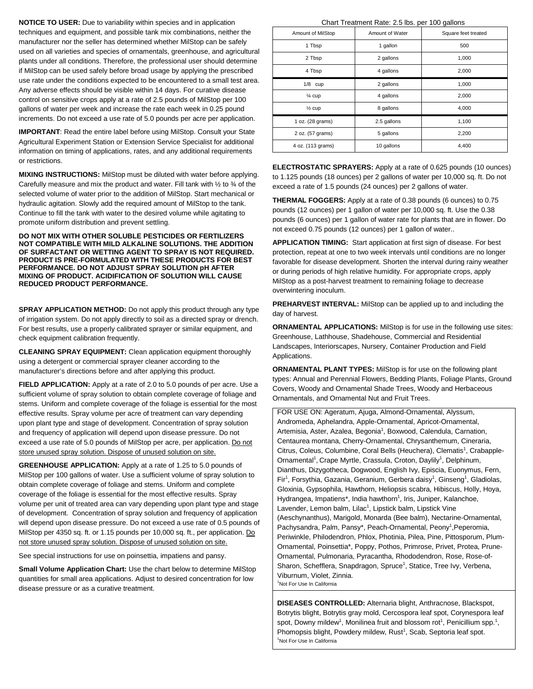**NOTICE TO USER:** Due to variability within species and in application techniques and equipment, and possible tank mix combinations, neither the manufacturer nor the seller has determined whether MilStop can be safely used on all varieties and species of ornamentals, greenhouse, and agricultural plants under all conditions. Therefore, the professional user should determine if MilStop can be used safely before broad usage by applying the prescribed use rate under the conditions expected to be encountered to a small test area. Any adverse effects should be visible within 14 days. For curative disease control on sensitive crops apply at a rate of 2.5 pounds of MilStop per 100 gallons of water per week and increase the rate each week in 0.25 pound increments. Do not exceed a use rate of 5.0 pounds per acre per application.

**IMPORTANT**: Read the entire label before using MilStop. Consult your State Agricultural Experiment Station or Extension Service Specialist for additional information on timing of applications, rates, and any additional requirements or restrictions.

**MIXING INSTRUCTIONS:** MilStop must be diluted with water before applying. Carefully measure and mix the product and water. Fill tank with  $\frac{1}{2}$  to  $\frac{3}{4}$  of the selected volume of water prior to the addition of MilStop. Start mechanical or hydraulic agitation. Slowly add the required amount of MilStop to the tank. Continue to fill the tank with water to the desired volume while agitating to promote uniform distribution and prevent settling.

**DO NOT MIX WITH OTHER SOLUBLE PESTICIDES OR FERTILIZERS NOT COMPATIBLE WITH MILD ALKALINE SOLUTIONS. THE ADDITION OF SURFACTANT OR WETTING AGENT TO SPRAY IS NOT REQUIRED. PRODUCT IS PRE-FORMULATED WITH THESE PRODUCTS FOR BEST PERFORMANCE. DO NOT ADJUST SPRAY SOLUTION pH AFTER MIXING OF PRODUCT. ACIDIFICATION OF SOLUTION WILL CAUSE REDUCED PRODUCT PERFORMANCE.** 

**SPRAY APPLICATION METHOD:** Do not apply this product through any type of irrigation system. Do not apply directly to soil as a directed spray or drench. For best results, use a properly calibrated sprayer or similar equipment, and check equipment calibration frequently.

**CLEANING SPRAY EQUIPMENT:** Clean application equipment thoroughly using a detergent or commercial sprayer cleaner according to the manufacturer's directions before and after applying this product.

**FIELD APPLICATION:** Apply at a rate of 2.0 to 5.0 pounds of per acre. Use a sufficient volume of spray solution to obtain complete coverage of foliage and stems. Uniform and complete coverage of the foliage is essential for the most effective results. Spray volume per acre of treatment can vary depending upon plant type and stage of development. Concentration of spray solution and frequency of application will depend upon disease pressure. Do not exceed a use rate of 5.0 pounds of MilStop per acre, per application. Do not store unused spray solution. Dispose of unused solution on site.

**GREENHOUSE APPLICATION:** Apply at a rate of 1.25 to 5.0 pounds of MilStop per 100 gallons of water. Use a sufficient volume of spray solution to obtain complete coverage of foliage and stems. Uniform and complete coverage of the foliage is essential for the most effective results. Spray volume per unit of treated area can vary depending upon plant type and stage of development. Concentration of spray solution and frequency of application will depend upon disease pressure. Do not exceed a use rate of 0.5 pounds of MilStop per 4350 sq. ft. or 1.15 pounds per 10,000 sq. ft., per application. Do not store unused spray solution. Dispose of unused solution on site.

See special instructions for use on poinsettia, impatiens and pansy.

**Small Volume Application Chart:** Use the chart below to determine MilStop quantities for small area applications. Adjust to desired concentration for low disease pressure or as a curative treatment.

Chart Treatment Rate: 2.5 lbs. per 100 gallons

| Amount of MilStop | Amount of Water | Square feet treated |
|-------------------|-----------------|---------------------|
| 1 Tbsp            | 1 gallon        | 500                 |
| 2 Tbsp            | 2 gallons       | 1,000               |
| 4 Tbsp            | 4 gallons       | 2,000               |
| $1/8$ cup         | 2 gallons       | 1,000               |
| $\frac{1}{4}$ cup | 4 gallons       | 2,000               |
| $\frac{1}{2}$ cup | 8 gallons       | 4,000               |
| 1 oz. (28 grams)  | 2.5 gallons     | 1,100               |
| 2 oz. (57 grams)  | 5 gallons       | 2,200               |
| 4 oz. (113 grams) | 10 gallons      | 4,400               |

**ELECTROSTATIC SPRAYERS:** Apply at a rate of 0.625 pounds (10 ounces) to 1.125 pounds (18 ounces) per 2 gallons of water per 10,000 sq. ft. Do not exceed a rate of 1.5 pounds (24 ounces) per 2 gallons of water.

**THERMAL FOGGERS:** Apply at a rate of 0.38 pounds (6 ounces) to 0.75 pounds (12 ounces) per 1 gallon of water per 10,000 sq. ft. Use the 0.38 pounds (6 ounces) per 1 gallon of water rate for plants that are in flower. Do not exceed 0.75 pounds (12 ounces) per 1 gallon of water..

**APPLICATION TIMING:** Start application at first sign of disease. For best protection, repeat at one to two week intervals until conditions are no longer favorable for disease development. Shorten the interval during rainy weather or during periods of high relative humidity. For appropriate crops, apply MilStop as a post-harvest treatment to remaining foliage to decrease overwintering inoculum.

**PREHARVEST INTERVAL:** MilStop can be applied up to and including the day of harvest.

**ORNAMENTAL APPLICATIONS:** MilStop is for use in the following use sites: Greenhouse, Lathhouse, Shadehouse, Commercial and Residential Landscapes, Interiorscapes, Nursery, Container Production and Field Applications.

**ORNAMENTAL PLANT TYPES:** MilStop is for use on the following plant types: Annual and Perennial Flowers, Bedding Plants, Foliage Plants, Ground Covers, Woody and Ornamental Shade Trees, Woody and Herbaceous Ornamentals, and Ornamental Nut and Fruit Trees.

FOR USE ON: Ageratum, Ajuga, Almond-Ornamental, Alyssum, Andromeda, Aphelandra, Apple-Ornamental, Apricot-Ornamental, Artemisia, Aster, Azalea, Begonia<sup>1</sup>, Boxwood, Calendula, Carnation, Centaurea montana, Cherry-Ornamental, Chrysanthemum, Cineraria, Citrus, Coleus, Columbine, Coral Bells (Heuchera), Clematis<sup>1</sup>, Crabapple-Ornamental<sup>1</sup>, Crape Myrtle, Crassula, Croton, Daylily<sup>1</sup>, Delphinum, Dianthus, Dizygotheca, Dogwood, English Ivy, Episcia, Euonymus, Fern, Fir<sup>1</sup>, Forsythia, Gazania, Geranium, Gerbera daisy<sup>1</sup>, Ginseng<sup>1</sup>, Gladiolas, Gloxinia, Gypsophila, Hawthorn, Heliopsis scabra, Hibiscus, Holly, Hoya, Hydrangea, Impatiens\*, India hawthorn<sup>1</sup>, Iris, Juniper, Kalanchoe, Lavender, Lemon balm, Lilac<sup>1</sup>, Lipstick balm, Lipstick Vine (Aeschynanthus), Marigold, Monarda (Bee balm), Nectarine-Ornamental, Pachysandra, Palm, Pansy\*, Peach-Ornamental, Peony<sup>1</sup>, Peperomia, Periwinkle, Philodendron, Phlox, Photinia, Pilea, Pine, Pittosporum, Plum-Ornamental, Poinsettia\*, Poppy, Pothos, Primrose, Privet, Protea, Prune-Ornamental, Pulmonaria, Pyracantha, Rhododendron, Rose, Rose-of-Sharon, Schefflera, Snapdragon, Spruce<sup>1</sup>, Statice, Tree Ivy, Verbena, Viburnum, Violet, Zinnia. 1 <sup>1</sup>Not For Use In California

**DISEASES CONTROLLED:** Alternaria blight, Anthracnose, Blackspot, Botrytis blight, Botrytis gray mold, Cercospora leaf spot, Corynespora leaf spot, Downy mildew<sup>1</sup>, Monilinea fruit and blossom rot<sup>1</sup>, Penicillium spp.<sup>1</sup>, Phomopsis blight, Powdery mildew, Rust<sup>1</sup>, Scab, Septoria leaf spot.<br><sup>1</sup>Net Fer Use la Golifazia <sup>1</sup>Not For Use In California